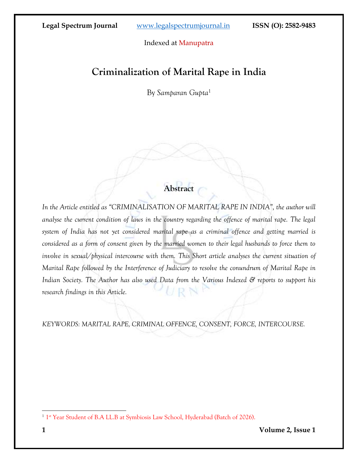Indexed at Manupatra

# **Criminalization of Marital Rape in India**

By *Samparan Gupta*<sup>1</sup>

## **Abstract**

*In the Article entitled as "CRIMINALISATION OF MARITAL RAPE IN INDIA", the author will analyse the current condition of laws in the country regarding the offence of marital rape. The legal system of India has not yet considered marital rape as a criminal offence and getting married is considered as a form of consent given by the married women to their legal husbands to force them to involve in sexual/physical intercourse with them. This Short article analyses the current situation of Marital Rape followed by the Interference of Judiciary to resolve the conundrum of Marital Rape in Indian Society. The Author has also used Data from the Various Indexed & reports to support his*  URN *research findings in this Article.*

*KEYWORDS: MARITAL RAPE, CRIMINAL OFFENCE, CONSENT, FORCE, INTERCOURSE.* 

<sup>&</sup>lt;sup>1</sup> 1<sup>st</sup> Year Student of B.A LL.B at Symbiosis Law School, Hyderabad (Batch of 2026).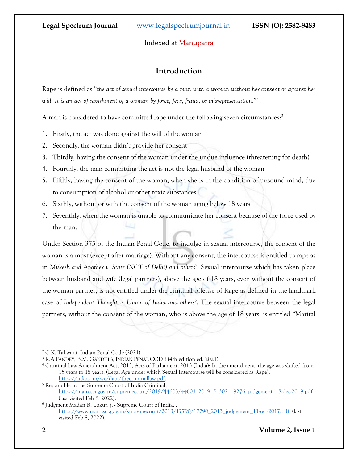#### Indexed at Manupatra

## **Introduction**

Rape is defined as "*the act of sexual intercourse by a man with a woman without her consent or against her will. It is an act of ravishment of a woman by force, fear, fraud, or misrepresentation*."<sup>2</sup>

A man is considered to have committed rape under the following seven circumstances:<sup>3</sup>

- 1. Firstly, the act was done against the will of the woman
- 2. Secondly, the woman didn't provide her consent
- 3. Thirdly, having the consent of the woman under the undue influence (threatening for death)
- 4. Fourthly, the man committing the act is not the legal husband of the woman
- 5. Fifthly, having the consent of the woman, when she is in the condition of unsound mind, due to consumption of alcohol or other toxic substances
- 6. Sixthly, without or with the consent of the woman aging below  $18 \text{ years}^4$
- 7. Seventhly, when the woman is unable to communicate her consent because of the force used by the man.

Under Section 375 of the Indian Penal Code, to indulge in sexual intercourse, the consent of the woman is a must (except after marriage). Without any consent, the intercourse is entitled to rape as in *Mukesh and Another v. State (NCT of Delhi) and others*<sup>5</sup> . Sexual intercourse which has taken place between husband and wife (legal partners), above the age of 18 years, even without the consent of the woman partner, is not entitled under the criminal offense of Rape as defined in the landmark case of Independent Thought v. Union of India and others<sup>6</sup>. The sexual intercourse between the legal partners, without the consent of the woman, who is above the age of 18 years, is entitled "Marital

<sup>2</sup> C.K. Takwani, Indian Penal Code (2021).

<sup>3</sup> K.A PANDEY, B.M. GANDHI'S, INDIAN PENAL CODE (4th edition ed. 2021).

<sup>4</sup> Criminal Law Amendment Act, 2013, Acts of Parliament, 2013 (India); In the amendment, the age was shifted from 15 years to 18 years, (Legal Age under which Sexual Intercourse will be considered as Rape), [https://iitk.ac.in/wc/data/thecriminallaw.pdf.](https://iitk.ac.in/wc/data/thecriminallaw.pdf) 

<sup>5</sup> Reportable in the Supreme Court of India Criminal, [https://main.sci.gov.in/supremecourt/2019/44603/44603\\_2019\\_5\\_302\\_19276\\_judgement\\_18-dec-2019.pdf](https://main.sci.gov.in/supremecourt/2019/44603/44603_2019_5_302_19276_judgement_18-dec-2019.pdf) (last visited Feb 8, 2022).

<sup>6</sup> Judgment Madan B. Lokur, j. - Supreme Court of India, , [https://www.main.sci.gov.in/supremecourt/2013/17790/17790\\_2013\\_judgement\\_11-oct-2017.pdf](https://www.main.sci.gov.in/supremecourt/2013/17790/17790_2013_judgement_11-oct-2017.pdf) (last visited Feb 8, 2022).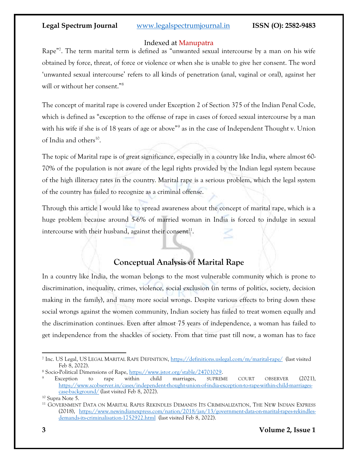#### Indexed at Manupatra

Rape<sup>"7</sup>. The term marital term is defined as "unwanted sexual intercourse by a man on his wife obtained by force, threat, of force or violence or when she is unable to give her consent. The word 'unwanted sexual intercourse' refers to all kinds of penetration (anal, vaginal or oral), against her will or without her consent."<sup>8</sup>

The concept of marital rape is covered under Exception 2 of Section 375 of the Indian Penal Code, which is defined as "exception to the offense of rape in cases of forced sexual intercourse by a man with his wife if she is of 18 years of age or above"<sup>9</sup> as in the case of Independent Thought v. Union of India and others<sup>10</sup>.

The topic of Marital rape is of great significance, especially in a country like India, where almost 60- 70% of the population is not aware of the legal rights provided by the Indian legal system because of the high illiteracy rates in the country. Marital rape is a serious problem, which the legal system of the country has failed to recognize as a criminal offense.

Through this article I would like to spread awareness about the concept of marital rape, which is a huge problem because around 5-6% of married woman in India is forced to indulge in sexual intercourse with their husband, against their consent<sup>11</sup>.

## **Conceptual Analysis of Marital Rape**

In a country like India, the woman belongs to the most vulnerable community which is prone to discrimination, inequality, crimes, violence, social exclusion (in terms of politics, society, decision making in the family), and many more social wrongs. Despite various effects to bring down these social wrongs against the women community, Indian society has failed to treat women equally and the discrimination continues. Even after almost 75 years of independence, a woman has failed to get independence from the shackles of society. From that time past till now, a woman has to face

<sup>7</sup> Inc. US Legal, US LEGAL MARITAL RAPE DEFINITION, <https://definitions.uslegal.com/m/marital-rape/>(last visited Feb 8, 2022).

<sup>8</sup> Socio-Political Dimensions of Rape, [https://www.jstor.org/stable/24701029.](https://www.jstor.org/stable/24701029)

<sup>9</sup> Exception to rape within child marriages, SUPREME COURT OBSERVER (2021), [https://www.scobserver.in/cases/independent-thought-union-of-india-exception-to-rape-within-child-marriages](https://www.scobserver.in/cases/independent-thought-union-of-india-exception-to-rape-within-child-marriages-case-background/)[case-background/](https://www.scobserver.in/cases/independent-thought-union-of-india-exception-to-rape-within-child-marriages-case-background/) (last visited Feb 8, 2022).

<sup>10</sup> Supra Note 5.

<sup>11</sup> GOVERNMENT DATA ON MARITAL RAPES REKINDLES DEMANDS ITS CRIMINALIZATION, THE NEW INDIAN EXPRESS (2018), [https://www.newindianexpress.com/nation/2018/jan/13/government-data-on-marital-rapes-rekindles](https://www.newindianexpress.com/nation/2018/jan/13/government-data-on-marital-rapes-rekindles-demands-its-criminalisation-1752922.html)[demands-its-criminalisation-1752922.html](https://www.newindianexpress.com/nation/2018/jan/13/government-data-on-marital-rapes-rekindles-demands-its-criminalisation-1752922.html) (last visited Feb 8, 2022).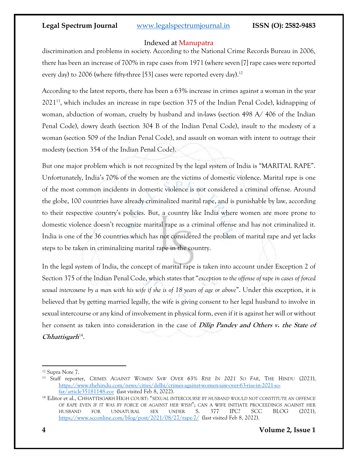#### Indexed at Manupatra

discrimination and problems in society. According to the National Crime Records Bureau in 2006, there has been an increase of 700% in rape cases from 1971 (where seven [7] rape cases were reported every day) to 2006 (where fifty-three [53] cases were reported every day).<sup>12</sup>

According to the latest reports, there has been a 63% increase in crimes against a woman in the year 2021<sup>13</sup>, which includes an increase in rape (section 375 of the Indian Penal Code), kidnapping of woman, abduction of woman, cruelty by husband and in-laws (section 498 A/ 406 of the Indian Penal Code), dowry death (section 304 B of the Indian Penal Code), insult to the modesty of a woman (section 509 of the Indian Penal Code), and assault on woman with intent to outrage their modesty (section 354 of the Indian Penal Code).

But one major problem which is not recognized by the legal system of India is "MARITAL RAPE". Unfortunately, India's 70% of the women are the victims of domestic violence. Marital rape is one of the most common incidents in domestic violence is not considered a criminal offense. Around the globe, 100 countries have already criminalized marital rape, and is punishable by law, according to their respective country's policies. But, a country like India where women are more prone to domestic violence doesn't recognize marital rape as a criminal offense and has not criminalized it. India is one of the 36 countries which has not considered the problem of marital rape and yet lacks steps to be taken in criminalizing marital rape in the country.

In the legal system of India, the concept of marital rape is taken into account under Exception 2 of Section 375 of the Indian Penal Code, which states that "*exception to the offense of rape in cases of forced sexual intercourse by a man with his wife if she is of 18 years of age or above*". Under this exception, it is believed that by getting married legally, the wife is giving consent to her legal husband to involve in sexual intercourse or any kind of involvement in physical form, even if it is against her will or without her consent as taken into consideration in the case of **Dilip Pandey and Others v. the State of**  Chhattisgarh<sup>14</sup>.

<sup>12</sup> Supra Note 7.

<sup>&</sup>lt;sup>13</sup> Staff reporter, CRIMES AGAINST WOMEN SAW OVER 63% RISE IN 2021 SO FAR, THE HINDU (2021), [https://www.thehindu.com/news/cities/delhi/crimes-against-women-saw-over-63-rise-in-2021-so](https://www.thehindu.com/news/cities/delhi/crimes-against-women-saw-over-63-rise-in-2021-so-far/article35181148.ece)[far/article35181148.ece](https://www.thehindu.com/news/cities/delhi/crimes-against-women-saw-over-63-rise-in-2021-so-far/article35181148.ece) (last visited Feb 8, 2022).

<sup>14</sup> Editor et al., CHHATTISGARH HIGH COURT: "*SEXUAL INTERCOURSE BY HUSBAND WOULD NOT CONSTITUTE AN OFFENCE OF RAPE EVEN IF IT WAS BY FORCE OR AGAINST HER WISH*"; CAN A WIFE INITIATE PROCEEDINGS AGAINST HER HUSBAND FOR UNNATURAL SEX UNDER S. 377 IPC? SCC BLOG (2021), <https://www.scconline.com/blog/post/2021/08/27/rape-7/>(last visited Feb 8, 2022).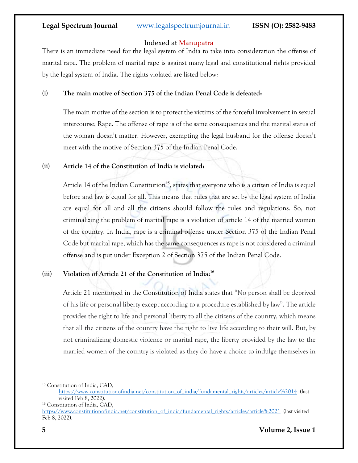#### Indexed at Manupatra

There is an immediate need for the legal system of India to take into consideration the offense of marital rape. The problem of marital rape is against many legal and constitutional rights provided by the legal system of India. The rights violated are listed below:

#### **(i) The main motive of Section 375 of the Indian Penal Code is defeated:**

The main motive of the section is to protect the victims of the forceful involvement in sexual intercourse; Rape. The offense of rape is of the same consequences and the marital status of the woman doesn't matter. However, exempting the legal husband for the offense doesn't meet with the motive of Section 375 of the Indian Penal Code.

#### **(ii) Article 14 of the Constitution of India is violated:**

Article 14 of the Indian Constitution<sup>15</sup>, states that everyone who is a citizen of India is equal before and law is equal for all. This means that rules that are set by the legal system of India are equal for all and all the citizens should follow the rules and regulations. So, not criminalizing the problem of marital rape is a violation of article 14 of the married women of the country. In India, rape is a criminal offense under Section 375 of the Indian Penal Code but marital rape, which has the same consequences as rape is not considered a criminal offense and is put under Exception 2 of Section 375 of the Indian Penal Code.

### **(iii) Violation of Article 21 of the Constitution of India: 16**

Article 21 mentioned in the Constitution of India states that "No person shall be deprived of his life or personal liberty except according to a procedure established by law". The article provides the right to life and personal liberty to all the citizens of the country, which means that all the citizens of the country have the right to live life according to their will. But, by not criminalizing domestic violence or marital rape, the liberty provided by the law to the married women of the country is violated as they do have a choice to indulge themselves in

<sup>15</sup> Constitution of India, CAD,

[https://www.constitutionofindia.net/constitution\\_of\\_india/fundamental\\_rights/articles/article%2014](https://www.constitutionofindia.net/constitution_of_india/fundamental_rights/articles/article%2014) (last visited Feb 8, 2022).

<sup>16</sup> Constitution of India, CAD, [https://www.constitutionofindia.net/constitution\\_of\\_india/fundamental\\_rights/articles/article%2021](https://www.constitutionofindia.net/constitution_of_india/fundamental_rights/articles/article%2021) (last visited Feb 8, 2022).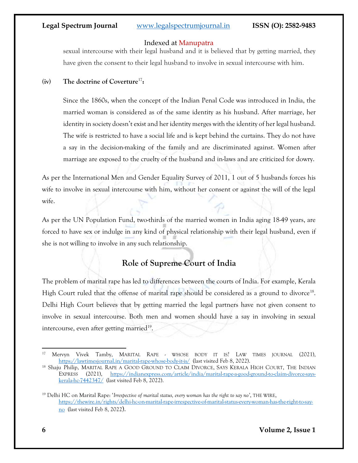#### Indexed at Manupatra

sexual intercourse with their legal husband and it is believed that by getting married, they have given the consent to their legal husband to involve in sexual intercourse with him.

#### **(iv) The doctrine of Coverture**<sup>17</sup> **:**

Since the 1860s, when the concept of the Indian Penal Code was introduced in India, the married woman is considered as of the same identity as his husband. After marriage, her identity in society doesn't exist and her identity merges with the identity of her legal husband. The wife is restricted to have a social life and is kept behind the curtains. They do not have a say in the decision-making of the family and are discriminated against. Women after marriage are exposed to the cruelty of the husband and in-laws and are criticized for dowry.

As per the International Men and Gender Equality Survey of 2011, 1 out of 5 husbands forces his wife to involve in sexual intercourse with him, without her consent or against the will of the legal wife.

As per the UN Population Fund, two-thirds of the married women in India aging 18-49 years, are forced to have sex or indulge in any kind of physical relationship with their legal husband, even if she is not willing to involve in any such relationship.

## **Role of Supreme Court of India**

The problem of marital rape has led to differences between the courts of India. For example, Kerala High Court ruled that the offense of marital rape should be considered as a ground to divorce<sup>18</sup>. Delhi High Court believes that by getting married the legal partners have not given consent to involve in sexual intercourse. Both men and women should have a say in involving in sexual intercourse, even after getting married<sup>19</sup>.

<sup>17</sup> Mervyn Vivek Tamby, MARITAL RAPE - WHOSE BODY IT IS? LAW TIMES JOURNAL (2021), <https://lawtimesjournal.in/marital-rape-whose-body-it-is/> (last visited Feb 8, 2022).

<sup>&</sup>lt;sup>18</sup> Shaju Philip, MARITAL RAPE A GOOD GROUND TO CLAIM DIVORCE, SAYS KERALA HIGH COURT, THE INDIAN EXPRESS (2021), [https://indianexpress.com/article/india/marital-rape-a-good-ground-to-claim-divorce-says](https://indianexpress.com/article/india/marital-rape-a-good-ground-to-claim-divorce-says-kerala-hc-7442347/)[kerala-hc-7442347/](https://indianexpress.com/article/india/marital-rape-a-good-ground-to-claim-divorce-says-kerala-hc-7442347/) (last visited Feb 8, 2022).

<sup>19</sup> Delhi HC on Marital Rape: '*Irrespective of marital status, every woman has the right to say no'*, THE WIRE, [https://thewire.in/rights/delhi-hc-on-marital-rape-irrespective-of-marital-status-every-woman-has-the-right-to-say](https://thewire.in/rights/delhi-hc-on-marital-rape-irrespective-of-marital-status-every-woman-has-the-right-to-say-no)[no](https://thewire.in/rights/delhi-hc-on-marital-rape-irrespective-of-marital-status-every-woman-has-the-right-to-say-no) (last visited Feb 8, 2022).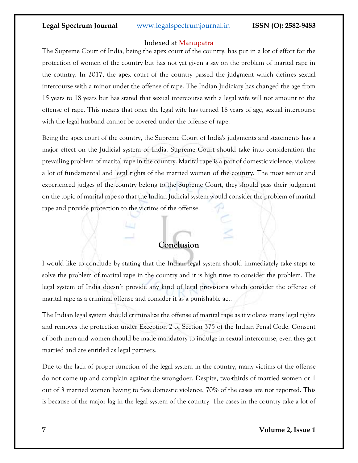#### Indexed at Manupatra

The Supreme Court of India, being the apex court of the country, has put in a lot of effort for the protection of women of the country but has not yet given a say on the problem of marital rape in the country. In 2017, the apex court of the country passed the judgment which defines sexual intercourse with a minor under the offense of rape. The Indian Judiciary has changed the age from 15 years to 18 years but has stated that sexual intercourse with a legal wife will not amount to the offense of rape. This means that once the legal wife has turned 18 years of age, sexual intercourse with the legal husband cannot be covered under the offense of rape.

Being the apex court of the country, the Supreme Court of India's judgments and statements has a major effect on the Judicial system of India. Supreme Court should take into consideration the prevailing problem of marital rape in the country. Marital rape is a part of domestic violence, violates a lot of fundamental and legal rights of the married women of the country. The most senior and experienced judges of the country belong to the Supreme Court, they should pass their judgment on the topic of marital rape so that the Indian Judicial system would consider the problem of marital rape and provide protection to the victims of the offense.

### **Conclusion**

I would like to conclude by stating that the Indian legal system should immediately take steps to solve the problem of marital rape in the country and it is high time to consider the problem. The legal system of India doesn't provide any kind of legal provisions which consider the offense of marital rape as a criminal offense and consider it as a punishable act.

The Indian legal system should criminalize the offense of marital rape as it violates many legal rights and removes the protection under Exception 2 of Section 375 of the Indian Penal Code. Consent of both men and women should be made mandatory to indulge in sexual intercourse, even they got married and are entitled as legal partners.

Due to the lack of proper function of the legal system in the country, many victims of the offense do not come up and complain against the wrongdoer. Despite, two-thirds of married women or 1 out of 3 married women having to face domestic violence, 70% of the cases are not reported. This is because of the major lag in the legal system of the country. The cases in the country take a lot of